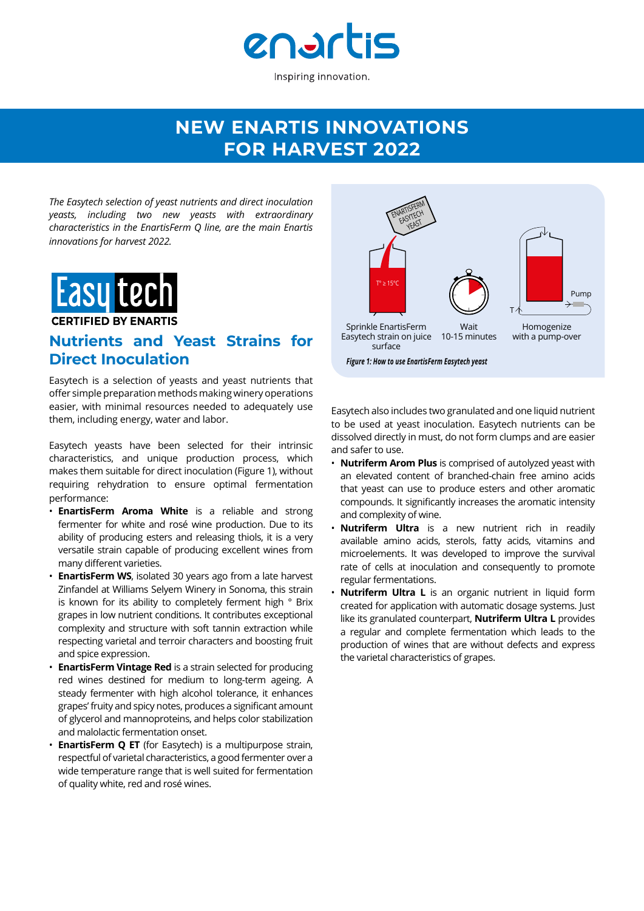

## **NEW ENARTIS INNOVATIONS FOR HARVEST 2022**

*The Easytech selection of yeast nutrients and direct inoculation yeasts, including two new yeasts with extraordinary characteristics in the EnartisFerm Q line, are the main Enartis innovations for harvest 2022.*



### **Nutrients and Yeast Strains for Direct Inoculation**

Easytech is a selection of yeasts and yeast nutrients that offer simple preparation methods making winery operations easier, with minimal resources needed to adequately use them, including energy, water and labor.

Easytech yeasts have been selected for their intrinsic characteristics, and unique production process, which makes them suitable for direct inoculation (Figure 1), without requiring rehydration to ensure optimal fermentation performance:

- **EnartisFerm Aroma White** is a reliable and strong fermenter for white and rosé wine production. Due to its ability of producing esters and releasing thiols, it is a very versatile strain capable of producing excellent wines from many different varieties.
- **EnartisFerm WS**, isolated 30 years ago from a late harvest Zinfandel at Williams Selyem Winery in Sonoma, this strain is known for its ability to completely ferment high ° Brix grapes in low nutrient conditions. It contributes exceptional complexity and structure with soft tannin extraction while respecting varietal and terroir characters and boosting fruit and spice expression.
- **EnartisFerm Vintage Red** is a strain selected for producing red wines destined for medium to long-term ageing. A steady fermenter with high alcohol tolerance, it enhances grapes' fruity and spicy notes, produces a significant amount of glycerol and mannoproteins, and helps color stabilization and malolactic fermentation onset.
- **EnartisFerm Q ET** (for Easytech) is a multipurpose strain, respectful of varietal characteristics, a good fermenter over a wide temperature range that is well suited for fermentation of quality white, red and rosé wines.



Easytech also includes two granulated and one liquid nutrient to be used at yeast inoculation. Easytech nutrients can be dissolved directly in must, do not form clumps and are easier and safer to use.

- **Nutriferm Arom Plus** is comprised of autolyzed yeast with an elevated content of branched-chain free amino acids that yeast can use to produce esters and other aromatic compounds. It significantly increases the aromatic intensity and complexity of wine.
- **Nutriferm Ultra** is a new nutrient rich in readily available amino acids, sterols, fatty acids, vitamins and microelements. It was developed to improve the survival rate of cells at inoculation and consequently to promote regular fermentations.
- **Nutriferm Ultra L** is an organic nutrient in liquid form created for application with automatic dosage systems. Just like its granulated counterpart, **Nutriferm Ultra L** provides a regular and complete fermentation which leads to the production of wines that are without defects and express the varietal characteristics of grapes.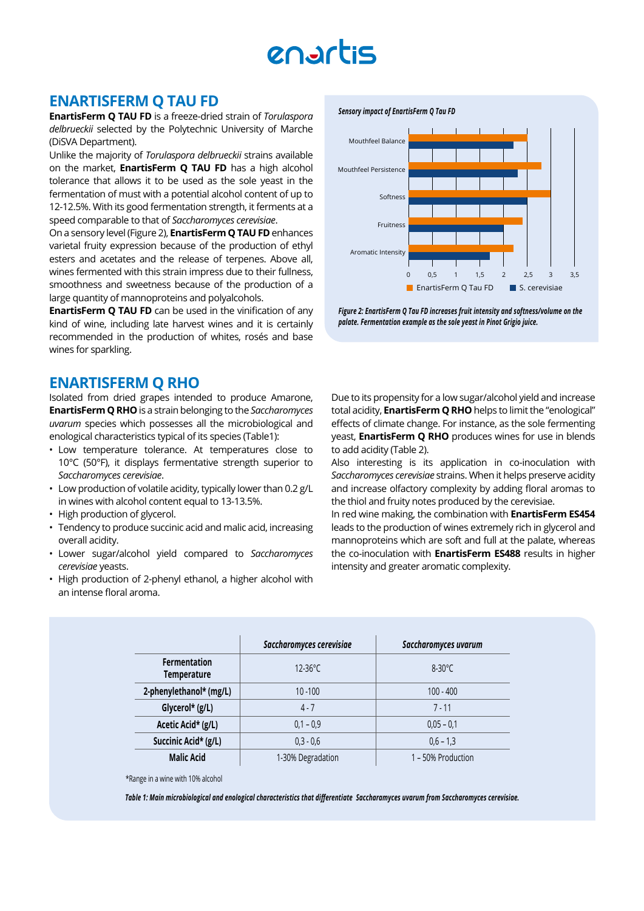# enartis

#### **ENARTISFERM Q TAU FD**

**EnartisFerm Q TAU FD** is a freeze-dried strain of *Torulaspora delbrueckii* selected by the Polytechnic University of Marche (DiSVA Department).

Unlike the majority of *Torulaspora delbrueckii* strains available on the market, **EnartisFerm Q TAU FD** has a high alcohol tolerance that allows it to be used as the sole yeast in the fermentation of must with a potential alcohol content of up to 12-12.5%. With its good fermentation strength, it ferments at a speed comparable to that of *Saccharomyces cerevisiae*.

On a sensory level (Figure 2), **EnartisFerm Q TAU FD** enhances varietal fruity expression because of the production of ethyl esters and acetates and the release of terpenes. Above all, wines fermented with this strain impress due to their fullness, smoothness and sweetness because of the production of a large quantity of mannoproteins and polyalcohols.

**EnartisFerm Q TAU FD** can be used in the vinification of any kind of wine, including late harvest wines and it is certainly recommended in the production of whites, rosés and base wines for sparkling.

#### **ENARTISFERM Q RHO**

Isolated from dried grapes intended to produce Amarone, **EnartisFerm Q RHO** is a strain belonging to the *Saccharomyces uvarum* species which possesses all the microbiological and enological characteristics typical of its species (Table1):

- Low temperature tolerance. At temperatures close to 10°C (50°F), it displays fermentative strength superior to *Saccharomyces cerevisiae*.
- Low production of volatile acidity, typically lower than 0.2 g/L in wines with alcohol content equal to 13-13.5%.
- High production of glycerol.
- Tendency to produce succinic acid and malic acid, increasing overall acidity.
- Lower sugar/alcohol yield compared to *Saccharomyces cerevisiae* yeasts.
- High production of 2-phenyl ethanol, a higher alcohol with an intense floral aroma.

#### *Sensory impact of EnartisFerm Q Tau FD*



*Figure 2: EnartisFerm Q Tau FD increases fruit intensity and softness/volume on the palate. Fermentation example as the sole yeast in Pinot Grigio juice.* 

Due to its propensity for a low sugar/alcohol yield and increase total acidity, **EnartisFerm Q RHO** helps to limit the "enological" effects of climate change. For instance, as the sole fermenting yeast, **EnartisFerm Q RHO** produces wines for use in blends to add acidity (Table 2).

Also interesting is its application in co-inoculation with *Saccharomyces cerevisiae* strains. When it helps preserve acidity and increase olfactory complexity by adding floral aromas to the thiol and fruity notes produced by the cerevisiae.

In red wine making, the combination with **EnartisFerm ES454**  leads to the production of wines extremely rich in glycerol and mannoproteins which are soft and full at the palate, whereas the co-inoculation with **EnartisFerm ES488** results in higher intensity and greater aromatic complexity.

|                                           | Saccharomyces cerevisiae | Saccharomyces uvarum |
|-------------------------------------------|--------------------------|----------------------|
| <b>Fermentation</b><br><b>Temperature</b> | $12 - 36^{\circ}$ C      | $8-30^{\circ}$ C     |
| 2-phenylethanol* (mg/L)                   | $10 - 100$               | $100 - 400$          |
| Glycerol* (g/L)                           | $4 - 7$                  | $7 - 11$             |
| Acetic Acid* (g/L)                        | $0,1 - 0.9$              | $0.05 - 0.1$         |
| Succinic Acid* (g/L)                      | $0.3 - 0.6$              | $0.6 - 1.3$          |
| <b>Malic Acid</b>                         | 1-30% Degradation        | 1 - 50% Production   |

\*Range in a wine with 10% alcohol

*Table 1: Main microbiological and enological characteristics that differentiate Saccharamyces uvarum from Saccharomyces cerevisiae.*